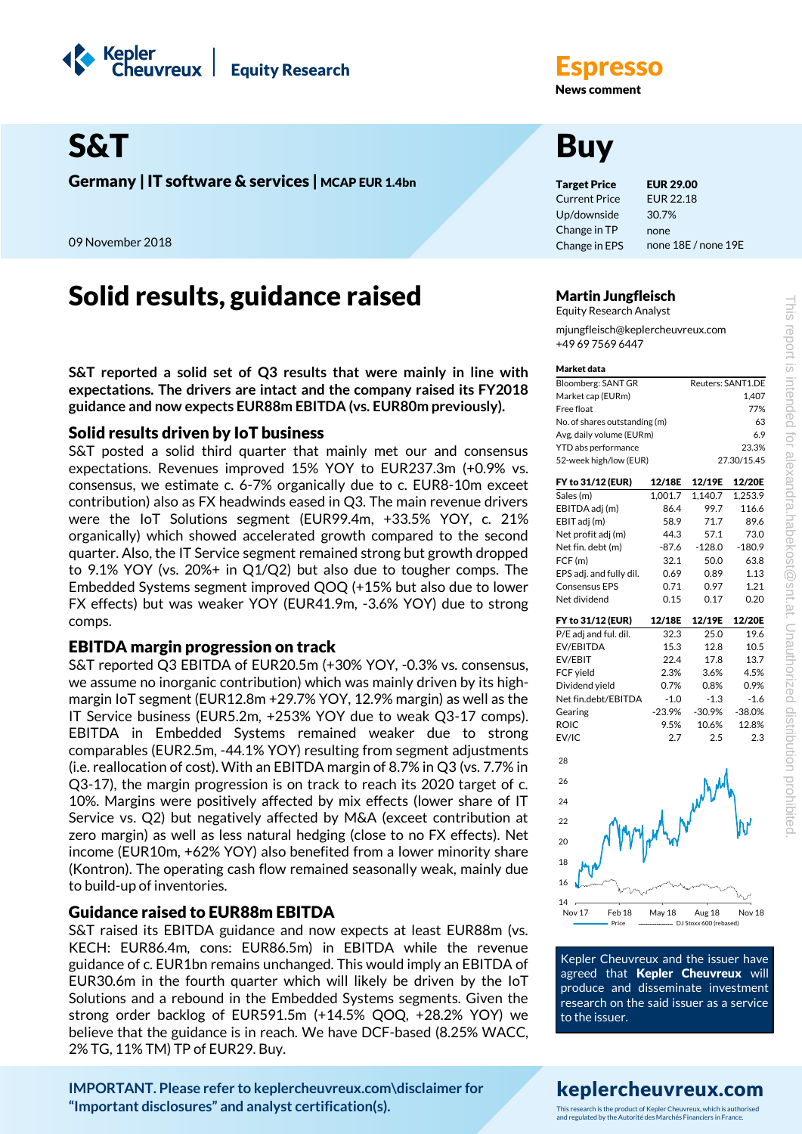



Germany | IT software & services | MCAP EUR 1.4bn Target Price EUR 29.00

09 November 2018

# Solid results, guidance raised Martin Jungfleisch

**S&T reported a solid set of Q3 results that were mainly in line with expectations. The drivers are intact and the company raised its FY2018 guidance and now expects EUR88m EBITDA (vs. EUR80m previously).**

# Solid results driven by IoT business

S&T posted a solid third quarter that mainly met our and consensus expectations. Revenues improved 15% YOY to EUR237.3m (+0.9% vs. consensus, we estimate c. 6-7% organically due to c. EUR8-10m exceet contribution) also as FX headwinds eased in Q3. The main revenue drivers were the IoT Solutions segment (EUR99.4m, +33.5% YOY, c. 21% organically) which showed accelerated growth compared to the second quarter. Also, the IT Service segment remained strong but growth dropped to 9.1% YOY (vs. 20%+ in Q1/Q2) but also due to tougher comps. The Embedded Systems segment improved QOQ (+15% but also due to lower FX effects) but was weaker YOY (EUR41.9m, -3.6% YOY) due to strong comps.

# EBITDA margin progression on track

S&T reported Q3 EBITDA of EUR20.5m (+30% YOY, -0.3% vs. consensus, we assume no inorganic contribution) which was mainly driven by its highmargin IoT segment (EUR12.8m +29.7% YOY, 12.9% margin) as well as the IT Service business (EUR5.2m, +253% YOY due to weak Q3-17 comps). EBITDA in Embedded Systems remained weaker due to strong comparables (EUR2.5m, -44.1% YOY) resulting from segment adjustments (i.e. reallocation of cost). With an EBITDA margin of 8.7% in Q3 (vs. 7.7% in Q3-17), the margin progression is on track to reach its 2020 target of c. 10%. Margins were positively affected by mix effects (lower share of IT Service vs. Q2) but negatively affected by M&A (exceet contribution at zero margin) as well as less natural hedging (close to no FX effects). Net income (EUR10m, +62% YOY) also benefited from a lower minority share (Kontron). The operating cash flow remained seasonally weak, mainly due to build-up of inventories.

# Guidance raised to EUR88m EBITDA

S&T raised its EBITDA guidance and now expects at least EUR88m (vs. KECH: EUR86.4m, cons: EUR86.5m) in EBITDA while the revenue guidance of c. EUR1bn remains unchanged. This would imply an EBITDA of EUR30.6m in the fourth quarter which will likely be driven by the IoT Solutions and a rebound in the Embedded Systems segments. Given the strong order backlog of EUR591.5m (+14.5% QOQ, +28.2% YOY) we believe that the guidance is in reach. We have DCF-based (8.25% WACC, 2% TG, 11% TM) TP of EUR29. Buy.

**[IMPORTANT. Please refer to keplercheuvreux.com\disclaimer for](https://research.keplercheuvreux.com/ResearchCenter.aspx#/Disclosure)  ["Important disclosures" and analyst certification\(s\).](https://research.keplercheuvreux.com/ResearchCenter.aspx#/Disclosure)**

**News comment** 

Current Price Up/downside Change in TP Change in EPS EUR 22.18 30.7% none none 18E / none 19E

Equity Research Analyst

mjungfleisch@keplercheuvreux.com +49 69 7569 6447

#### Market data

| Bloomberg: SANT GR            | Reuters: SANT1.DE |          |             |  |
|-------------------------------|-------------------|----------|-------------|--|
| Market cap (EURm)             |                   |          | 1.407       |  |
| Free float                    |                   |          | 77%         |  |
| No. of shares outstanding (m) | 63                |          |             |  |
| Avg. daily volume (EURm)      |                   |          | 6.9         |  |
| YTD abs performance           |                   |          | 23.3%       |  |
| 52-week high/low (EUR)        |                   |          | 27.30/15.45 |  |
| FY to 31/12 (EUR)             | 12/18E            | 12/19E   | 12/20E      |  |
| Sales (m)                     | 1,001.7           | 1,140.7  | 1,253.9     |  |
| EBITDA adj (m)                | 86.4              | 99.7     | 116.6       |  |
| EBIT adj (m)                  | 58.9              | 71.7     | 89.6        |  |
| Net profit adj (m)            | 44.3              | 57.1     | 73.0        |  |
| Net fin. debt (m)             | $-87.6$           | $-128.0$ | $-180.9$    |  |
| FCF (m)                       | 32.1              | 50.0     | 63.8        |  |
| EPS adj. and fully dil.       | 0.69              | 0.89     | 1.13        |  |
| <b>Consensus EPS</b>          | 0.71              | 0.97     | 1.21        |  |
| Net dividend                  | 0.15              | 0.17     | 0.20        |  |
| FY to 31/12 (EUR)             | 12/18E            | 12/19E   | 12/20E      |  |
| P/E adj and ful. dil.         | 32.3              | 25.0     | 19.6        |  |
| <b>EV/EBITDA</b>              | 15.3              | 12.8     | 10.5        |  |
| EV/EBIT                       | 22.4              | 17.8     | 13.7        |  |
| FCF yield                     | 2.3%              | 3.6%     | 4.5%        |  |
| Dividend vield                | 0.7%              | 0.8%     | 0.9%        |  |
| Net fin.debt/EBITDA           | $-1.0$            | $-1.3$   | $-1.6$      |  |
| Gearing                       | $-23.9%$          | $-30.9%$ | $-38.0%$    |  |
| ROIC                          | 9.5%              | 10.6%    | 12.8%       |  |
| EV/IC                         | 2.7               | 2.5      | 2.3         |  |
| 28                            |                   |          |             |  |
| 26                            |                   |          |             |  |
| 24                            |                   |          |             |  |
| 22                            |                   |          |             |  |
| 20                            |                   |          |             |  |
| 18                            |                   |          |             |  |
| 16                            |                   |          |             |  |
| 14                            |                   |          |             |  |
| Nov 17<br>Feb <sub>18</sub>   | May 18            | Aug 18   | Nov 18      |  |

Kepler Cheuvreux and the issuer have agreed that Kepler Cheuvreux will produce and disseminate investment research on the said issuer as a service to the issuer.

Price -------------------------- DJ Stoxx 600 (rebased)

This research is the product of Kepler Cheuvreux, which is authorised and regulated by the Autorité des Marchés Financiers in France.

# keplercheuvreux.com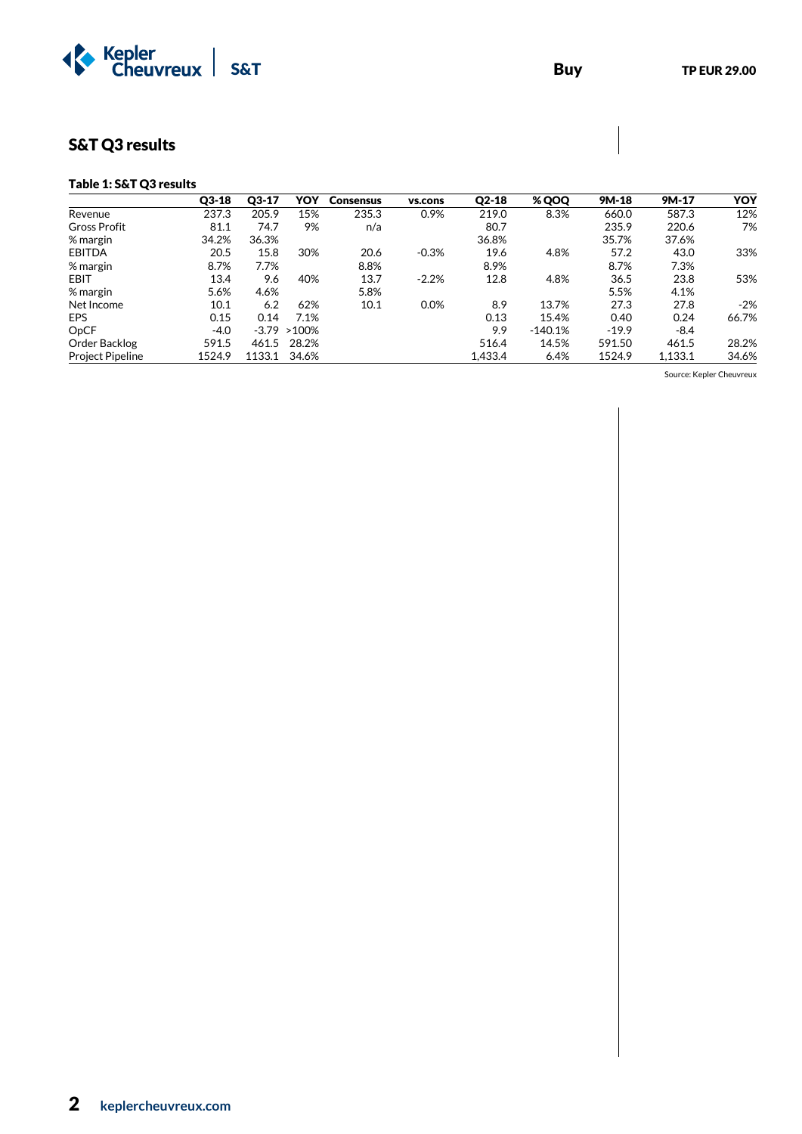

# S&T Q3 results

### Table 1: S&T Q3 results

|                         | $Q3-18$ | $Q3-17$ | YOY              | <b>Consensus</b> | vs.cons | $Q2-18$ | % QOQ     | 9M-18   | 9M-17   | <b>YOY</b> |
|-------------------------|---------|---------|------------------|------------------|---------|---------|-----------|---------|---------|------------|
| Revenue                 | 237.3   | 205.9   | 15%              | 235.3            | 0.9%    | 219.0   | 8.3%      | 660.0   | 587.3   | 12%        |
| <b>Gross Profit</b>     | 81.1    | 74.7    | 9%               | n/a              |         | 80.7    |           | 235.9   | 220.6   | 7%         |
| % margin                | 34.2%   | 36.3%   |                  |                  |         | 36.8%   |           | 35.7%   | 37.6%   |            |
| EBITDA                  | 20.5    | 15.8    | 30%              | 20.6             | $-0.3%$ | 19.6    | 4.8%      | 57.2    | 43.0    | 33%        |
| % margin                | 8.7%    | 7.7%    |                  | 8.8%             |         | 8.9%    |           | 8.7%    | 7.3%    |            |
| EBIT                    | 13.4    | 9.6     | 40%              | 13.7             | $-2.2%$ | 12.8    | 4.8%      | 36.5    | 23.8    | 53%        |
| % margin                | 5.6%    | 4.6%    |                  | 5.8%             |         |         |           | 5.5%    | 4.1%    |            |
| Net Income              | 10.1    | 6.2     | 62%              | 10.1             | 0.0%    | 8.9     | 13.7%     | 27.3    | 27.8    | $-2%$      |
| <b>EPS</b>              | 0.15    | 0.14    | 7.1%             |                  |         | 0.13    | 15.4%     | 0.40    | 0.24    | 66.7%      |
| OpCF                    | $-4.0$  |         | $-3.79$ $>100\%$ |                  |         | 9.9     | $-140.1%$ | $-19.9$ | $-8.4$  |            |
| Order Backlog           | 591.5   | 461.5   | 28.2%            |                  |         | 516.4   | 14.5%     | 591.50  | 461.5   | 28.2%      |
| <b>Project Pipeline</b> | 1524.9  | 1133.1  | 34.6%            |                  |         | 1.433.4 | 6.4%      | 1524.9  | 1.133.1 | 34.6%      |

Source: Kepler Cheuvreux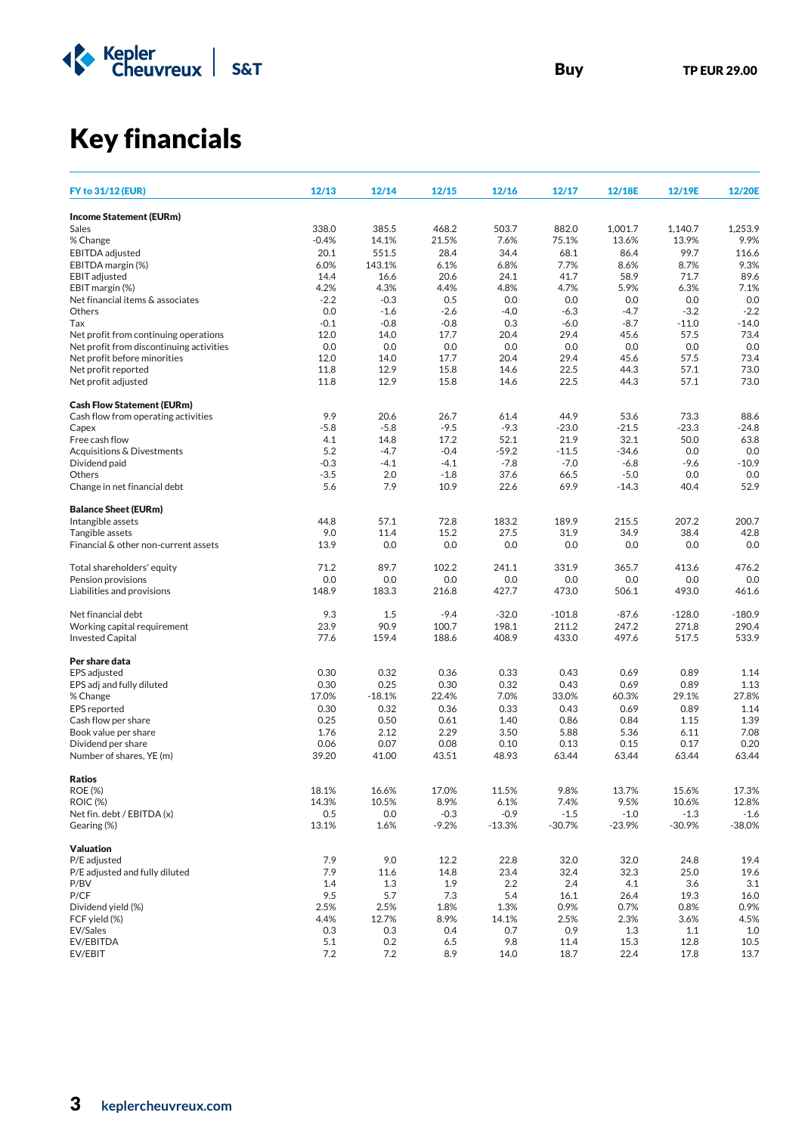

# Key financials

|                                                         |              |                 |              |              |              |              | 12/19E       |               |
|---------------------------------------------------------|--------------|-----------------|--------------|--------------|--------------|--------------|--------------|---------------|
| <b>FY to 31/12 (EUR)</b>                                | 12/13        | 12/14           | 12/15        | 12/16        | 12/17        | 12/18E       |              | 12/20E        |
| <b>Income Statement (EURm)</b>                          |              |                 |              |              |              |              |              |               |
| Sales                                                   | 338.0        | 385.5           | 468.2        | 503.7        | 882.0        | 1,001.7      | 1,140.7      | 1,253.9       |
| % Change                                                | $-0.4%$      | 14.1%           | 21.5%        | 7.6%         | 75.1%        | 13.6%        | 13.9%        | 9.9%          |
| EBITDA adjusted<br>EBITDA margin (%)                    | 20.1<br>6.0% | 551.5<br>143.1% | 28.4<br>6.1% | 34.4<br>6.8% | 68.1<br>7.7% | 86.4<br>8.6% | 99.7<br>8.7% | 116.6<br>9.3% |
| <b>EBIT</b> adjusted                                    | 14.4         | 16.6            | 20.6         | 24.1         | 41.7         | 58.9         | 71.7         | 89.6          |
| EBIT margin (%)                                         | 4.2%         | 4.3%            | 4.4%         | 4.8%         | 4.7%         | 5.9%         | 6.3%         | 7.1%          |
| Net financial items & associates                        | $-2.2$       | $-0.3$          | 0.5          | 0.0          | 0.0          | 0.0          | 0.0          | 0.0           |
| Others                                                  | 0.0          | $-1.6$          | $-2.6$       | $-4.0$       | $-6.3$       | $-4.7$       | $-3.2$       | $-2.2$        |
| Tax                                                     | $-0.1$       | $-0.8$          | $-0.8$       | 0.3          | $-6.0$       | $-8.7$       | $-11.0$      | $-14.0$       |
| Net profit from continuing operations                   | 12.0         | 14.0            | 17.7         | 20.4         | 29.4         | 45.6         | 57.5         | 73.4          |
| Net profit from discontinuing activities                | 0.0          | 0.0             | 0.0          | 0.0          | 0.0          | 0.0          | 0.0<br>57.5  | 0.0           |
| Net profit before minorities<br>Net profit reported     | 12.0<br>11.8 | 14.0<br>12.9    | 17.7<br>15.8 | 20.4<br>14.6 | 29.4<br>22.5 | 45.6<br>44.3 | 57.1         | 73.4<br>73.0  |
| Net profit adjusted                                     | 11.8         | 12.9            | 15.8         | 14.6         | 22.5         | 44.3         | 57.1         | 73.0          |
| <b>Cash Flow Statement (EURm)</b>                       |              |                 |              |              |              |              |              |               |
| Cash flow from operating activities                     | 9.9          | 20.6            | 26.7         | 61.4         | 44.9         | 53.6         | 73.3         | 88.6          |
| Capex                                                   | $-5.8$       | $-5.8$          | $-9.5$       | $-9.3$       | $-23.0$      | $-21.5$      | $-23.3$      | $-24.8$       |
| Free cash flow                                          | 4.1          | 14.8            | 17.2         | 52.1         | 21.9         | 32.1         | 50.0         | 63.8          |
| Acquisitions & Divestments                              | 5.2          | $-4.7$          | $-0.4$       | $-59.2$      | $-11.5$      | $-34.6$      | 0.0          | 0.0           |
| Dividend paid                                           | $-0.3$       | $-4.1$          | $-4.1$       | $-7.8$       | $-7.0$       | $-6.8$       | $-9.6$       | $-10.9$       |
| Others                                                  | $-3.5$       | 2.0             | $-1.8$       | 37.6         | 66.5         | $-5.0$       | 0.0          | 0.0           |
| Change in net financial debt                            | 5.6          | 7.9             | 10.9         | 22.6         | 69.9         | $-14.3$      | 40.4         | 52.9          |
| <b>Balance Sheet (EURm)</b>                             |              |                 |              |              |              |              |              |               |
| Intangible assets                                       | 44.8         | 57.1            | 72.8         | 183.2        | 189.9        | 215.5        | 207.2        | 200.7         |
| Tangible assets<br>Financial & other non-current assets | 9.0<br>13.9  | 11.4<br>0.0     | 15.2<br>0.0  | 27.5<br>0.0  | 31.9<br>0.0  | 34.9<br>0.0  | 38.4<br>0.0  | 42.8<br>0.0   |
|                                                         |              |                 |              |              |              |              |              |               |
| Total shareholders' equity<br>Pension provisions        | 71.2<br>0.0  | 89.7<br>0.0     | 102.2<br>0.0 | 241.1<br>0.0 | 331.9<br>0.0 | 365.7<br>0.0 | 413.6<br>0.0 | 476.2<br>0.0  |
| Liabilities and provisions                              | 148.9        | 183.3           | 216.8        | 427.7        | 473.0        | 506.1        | 493.0        | 461.6         |
| Net financial debt                                      | 9.3          | 1.5             | $-9.4$       | $-32.0$      | $-101.8$     | $-87.6$      | $-128.0$     | $-180.9$      |
| Working capital requirement                             | 23.9         | 90.9            | 100.7        | 198.1        | 211.2        | 247.2        | 271.8        | 290.4         |
| <b>Invested Capital</b>                                 | 77.6         | 159.4           | 188.6        | 408.9        | 433.0        | 497.6        | 517.5        | 533.9         |
| Per share data                                          |              |                 |              |              |              |              |              |               |
| EPS adjusted                                            | 0.30         | 0.32            | 0.36         | 0.33         | 0.43         | 0.69         | 0.89         | 1.14          |
| EPS adj and fully diluted                               | 0.30         | 0.25            | 0.30         | 0.32         | 0.43         | 0.69         | 0.89         | 1.13          |
| % Change                                                | 17.0%        | $-18.1%$        | 22.4%        | 7.0%         | 33.0%        | 60.3%        | 29.1%        | 27.8%         |
| <b>EPS</b> reported                                     | 0.30         | 0.32            | 0.36         | 0.33         | 0.43         | 0.69         | 0.89         | 1.14          |
| Cash flow per share                                     | 0.25<br>1.76 | 0.50<br>2.12    | 0.61         | 1.40         | 0.86<br>5.88 | 0.84         | 1.15<br>6.11 | 1.39<br>7.08  |
| Book value per share<br>Dividend per share              | 0.06         | 0.07            | 2.29<br>0.08 | 3.50<br>0.10 | 0.13         | 5.36<br>0.15 | 0.17         | 0.20          |
| Number of shares, YE (m)                                | 39.20        | 41.00           | 43.51        | 48.93        | 63.44        | 63.44        | 63.44        | 63.44         |
| <b>Ratios</b>                                           |              |                 |              |              |              |              |              |               |
| <b>ROE (%)</b>                                          | 18.1%        | 16.6%           | 17.0%        | 11.5%        | 9.8%         | 13.7%        | 15.6%        | 17.3%         |
| <b>ROIC (%)</b>                                         | 14.3%        | 10.5%           | 8.9%         | 6.1%         | 7.4%         | 9.5%         | 10.6%        | 12.8%         |
| Net fin. debt / EBITDA (x)                              | 0.5          | $0.0\,$         | $-0.3$       | $-0.9$       | $-1.5$       | $-1.0$       | $-1.3$       | $-1.6$        |
| Gearing (%)                                             | 13.1%        | 1.6%            | $-9.2%$      | $-13.3%$     | $-30.7%$     | $-23.9%$     | $-30.9%$     | $-38.0%$      |
| <b>Valuation</b>                                        |              |                 |              |              |              |              |              |               |
| P/E adjusted                                            | 7.9          | 9.0             | 12.2         | 22.8         | 32.0         | 32.0         | 24.8         | 19.4          |
| P/E adjusted and fully diluted                          | 7.9          | 11.6            | 14.8         | 23.4         | 32.4         | 32.3         | 25.0         | 19.6          |
| P/BV                                                    | 1.4          | 1.3             | 1.9          | 2.2          | 2.4          | 4.1          | 3.6          | 3.1           |
| P/CF                                                    | 9.5          | 5.7             | 7.3          | 5.4          | 16.1         | 26.4         | 19.3         | 16.0          |
| Dividend yield (%)                                      | 2.5%         | 2.5%            | 1.8%         | 1.3%         | 0.9%         | 0.7%         | 0.8%         | 0.9%          |
| FCF yield (%)<br>EV/Sales                               | 4.4%<br>0.3  | 12.7%<br>0.3    | 8.9%<br>0.4  | 14.1%<br>0.7 | 2.5%<br>0.9  | 2.3%<br>1.3  | 3.6%<br>1.1  | 4.5%<br>1.0   |
| EV/EBITDA                                               | 5.1          | 0.2             | 6.5          | 9.8          | 11.4         | 15.3         | 12.8         | 10.5          |
| EV/EBIT                                                 | 7.2          | 7.2             | 8.9          | 14.0         | 18.7         | 22.4         | 17.8         | 13.7          |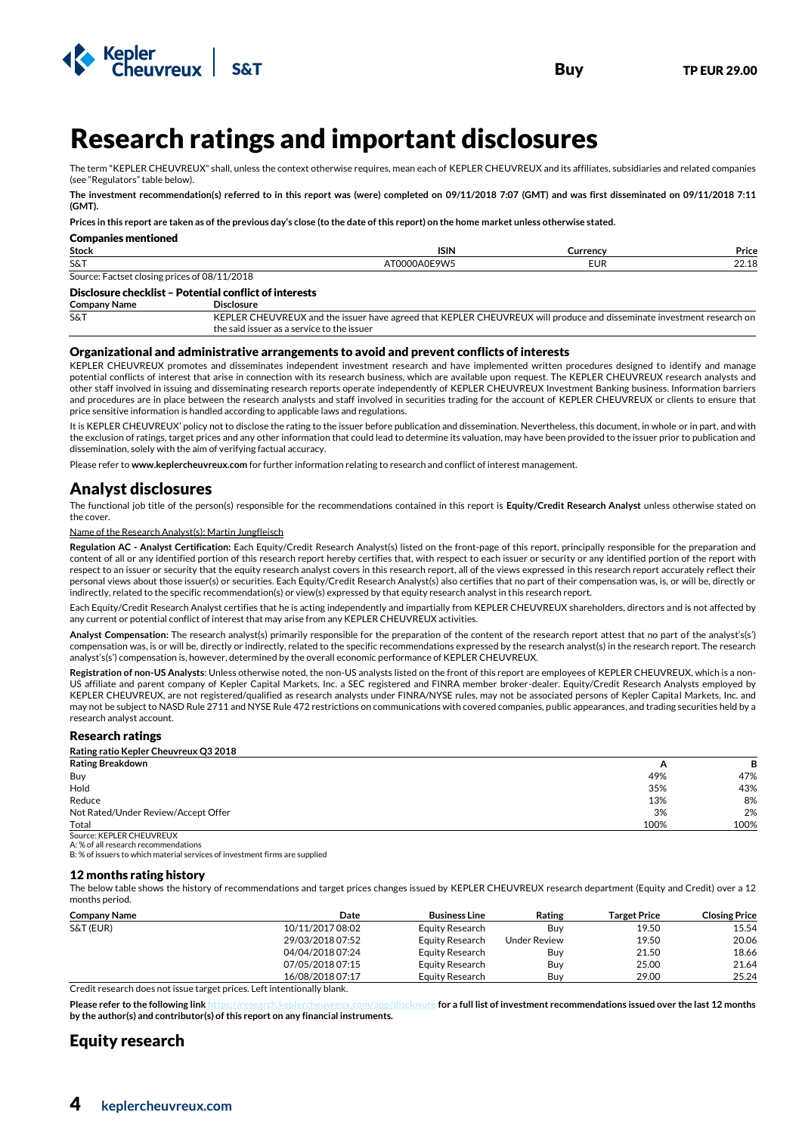



# <sup>4</sup>Research ratings and important disclosures

The term "KEPLER CHEUVREUX" shall, unless the context otherwise requires, mean each of KEPLER CHEUVREUX and its affiliates, subsidiaries and related companies (see "Regulators" table below).

**The investment recommendation(s) referred to in this report was (were) completed on 09/11/2018 7:07 (GMT) and was first disseminated on 09/11/2018 7:11 (GMT).**

**Prices in this report are taken as of the previous day's close (to the date of this report) on the home market unless otherwise stated.**

| Companies mentioned                                  |                         |          |               |  |  |  |  |
|------------------------------------------------------|-------------------------|----------|---------------|--|--|--|--|
| Stock                                                | <b>ISIN</b>             | Currency | Price         |  |  |  |  |
| S&T                                                  | <b>DANCOI</b><br>$\sim$ | EUR      | 22.10<br>---- |  |  |  |  |
| /2018<br>Factset closing prices of 08/11,<br>Source: |                         |          |               |  |  |  |  |

### Disclosure checklist – Potential conflict of interests

**Company Name Disclosure**

Companies mentioned

S&T KEPLER CHEUVREUX and the issuer have agreed that KEPLER CHEUVREUX will produce and disseminate investment research on the said issuer as a service to the issuer

#### Organizational and administrative arrangements to avoid and prevent conflicts of interests

KEPLER CHEUVREUX promotes and disseminates independent investment research and have implemented written procedures designed to identify and manage potential conflicts of interest that arise in connection with its research business, which are available upon request. The KEPLER CHEUVREUX research analysts and other staff involved in issuing and disseminating research reports operate independently of KEPLER CHEUVREUX Investment Banking business. Information barriers and procedures are in place between the research analysts and staff involved in securities trading for the account of KEPLER CHEUVREUX or clients to ensure that price sensitive information is handled according to applicable laws and regulations.

It is KEPLER CHEUVREUX' policy not to disclose the rating to the issuer before publication and dissemination. Nevertheless, this document, in whole or in part, and with the exclusion of ratings, target prices and any other information that could lead to determine its valuation, may have been provided to the issuer prior to publication and dissemination, solely with the aim of verifying factual accuracy.

Please refer to **www.keplercheuvreux.com** for further information relating to research and conflict of interest management.

# Analyst disclosures

The functional job title of the person(s) responsible for the recommendations contained in this report is **Equity/Credit Research Analyst** unless otherwise stated on the cover.

#### Name of the Research Analyst(s): Martin Jungfleisch

**Regulation AC - Analyst Certification:** Each Equity/Credit Research Analyst(s) listed on the front-page of this report, principally responsible for the preparation and content of all or any identified portion of this research report hereby certifies that, with respect to each issuer or security or any identified portion of the report with respect to an issuer or security that the equity research analyst covers in this research report, all of the views expressed in this research report accurately reflect their personal views about those issuer(s) or securities. Each Equity/Credit Research Analyst(s) also certifies that no part of their compensation was, is, or will be, directly or indirectly, related to the specific recommendation(s) or view(s) expressed by that equity research analyst in this research report.

Each Equity/Credit Research Analyst certifies that he is acting independently and impartially from KEPLER CHEUVREUX shareholders, directors and is not affected by any current or potential conflict of interest that may arise from any KEPLER CHEUVREUX activities.

**Analyst Compensation:** The research analyst(s) primarily responsible for the preparation of the content of the research report attest that no part of the analyst's(s') compensation was, is or will be, directly or indirectly, related to the specific recommendations expressed by the research analyst(s) in the research report. The research analyst's(s') compensation is, however, determined by the overall economic performance of KEPLER CHEUVREUX.

**Registration of non-US Analysts**: Unless otherwise noted, the non-US analysts listed on the front of this report are employees of KEPLER CHEUVREUX, which is a non-US affiliate and parent company of Kepler Capital Markets, Inc. a SEC registered and FINRA member broker-dealer. Equity/Credit Research Analysts employed by KEPLER CHEUVREUX, are not registered/qualified as research analysts under FINRA/NYSE rules, may not be associated persons of Kepler Capital Markets, Inc. and may not be subject to NASD Rule 2711 and NYSE Rule 472 restrictions on communications with covered companies, public appearances, and trading securities held by a research analyst account.

#### Research ratings

**Rating ratio Kepler Cheuvreux Q3 2018**

| <b>Rating Breakdown</b>             | <u>r</u> | В    |
|-------------------------------------|----------|------|
| Buy                                 | 49%      | 47%  |
| Hold                                | 35%      | 43%  |
| Reduce                              | 13%      | 8%   |
| Not Rated/Under Review/Accept Offer | 3%       | 2%   |
| Total                               | 100%     | 100% |
| Source: KEPLER CHEUVREUX            |          |      |

A: % of all research recommendations

B: % of issuers to which material services of investment firms are supplied

#### 12 months rating history

The below table shows the history of recommendations and target prices changes issued by KEPLER CHEUVREUX research department (Equity and Credit) over a 12 months period.

| <b>Company Name</b> | Date             | <b>Business Line</b> | Rating              | <b>Target Price</b> | <b>Closing Price</b> |
|---------------------|------------------|----------------------|---------------------|---------------------|----------------------|
| S&T (EUR)           | 10/11/2017 08:02 | Equity Research      | Buv                 | 19.50               | 15.54                |
|                     | 29/03/2018 07:52 | Equity Research      | <b>Under Review</b> | 19.50               | 20.06                |
|                     | 04/04/2018 07:24 | Equity Research      | Buv                 | 21.50               | 18.66                |
|                     | 07/05/2018 07:15 | Equity Research      | Buy                 | 25.00               | 21.64                |
|                     | 16/08/2018 07:17 | Equity Research      | Buv                 | 29.00               | 25.24                |

Credit research does not issue target prices. Left intentionally blank.

**Please refer to the following lin[k https://research.keplercheuvreux.com/app/disclosure](https://research.keplercheuvreux.com/app/disclosure/stock/8466) for a full list of investment recommendations issued over the last 12 months by the author(s) and contributor(s) of this report on any financial instruments.**

# Equity research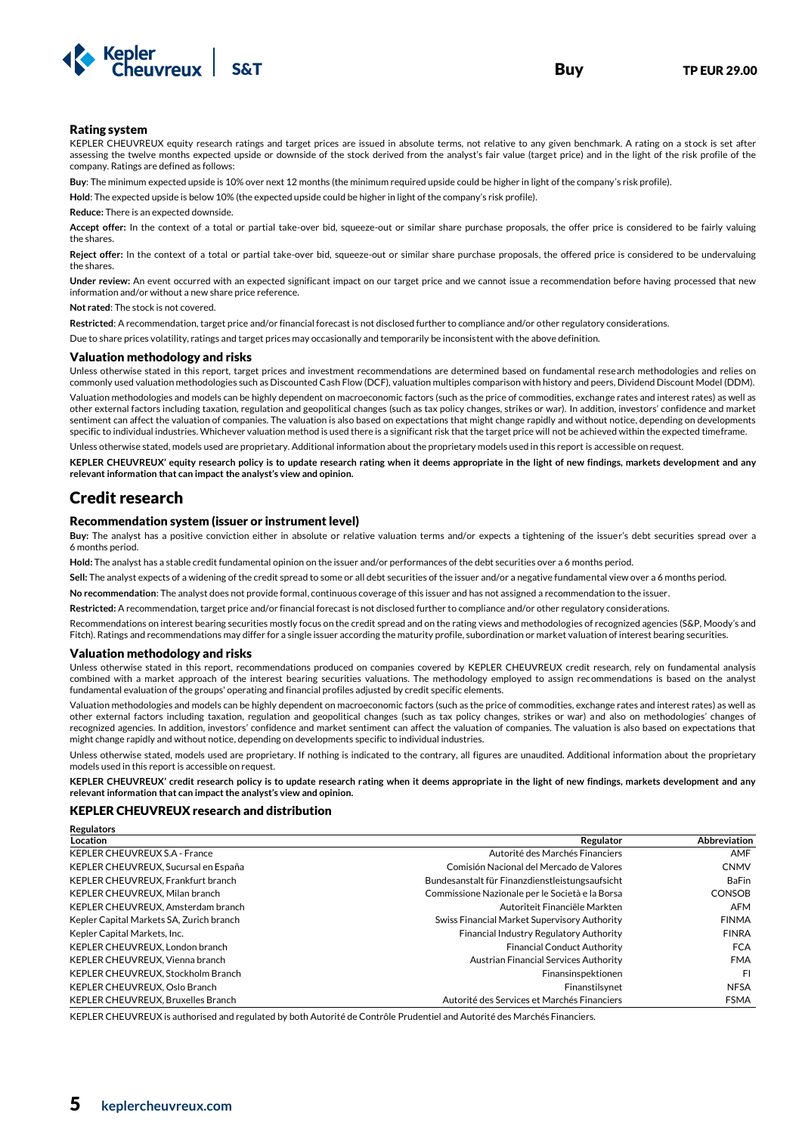

#### Rating system

KEPLER CHEUVREUX equity research ratings and target prices are issued in absolute terms, not relative to any given benchmark. A rating on a stock is set after assessing the twelve months expected upside or downside of the stock derived from the analyst's fair value (target price) and in the light of the risk profile of the company. Ratings are defined as follows:

**Buy**: The minimum expected upside is 10% over next 12 months (the minimum required upside could be higher in light of the company's risk profile).

**Hold**: The expected upside is below 10% (the expected upside could be higher in light of the company's risk profile).

**Reduce:** There is an expected downside.

**Accept offer:** In the context of a total or partial take-over bid, squeeze-out or similar share purchase proposals, the offer price is considered to be fairly valuing the shares.

**Reject offer:** In the context of a total or partial take-over bid, squeeze-out or similar share purchase proposals, the offered price is considered to be undervaluing the shares.

**Under review:** An event occurred with an expected significant impact on our target price and we cannot issue a recommendation before having processed that new information and/or without a new share price reference.

**Not rated**: The stock is not covered.

**Restricted**: A recommendation, target price and/or financial forecast is not disclosed further to compliance and/or other regulatory considerations.

Due to share prices volatility, ratings and target prices may occasionally and temporarily be inconsistent with the above definition.

#### Valuation methodology and risks

Unless otherwise stated in this report, target prices and investment recommendations are determined based on fundamental research methodologies and relies on commonly used valuation methodologies such as Discounted Cash Flow (DCF), valuation multiples comparison with history and peers, Dividend Discount Model (DDM).

Valuation methodologies and models can be highly dependent on macroeconomic factors (such as the price of commodities, exchange rates and interest rates) as well as other external factors including taxation, regulation and geopolitical changes (such as tax policy changes, strikes or war). In addition, investors' confidence and market sentiment can affect the valuation of companies. The valuation is also based on expectations that might change rapidly and without notice, depending on developments specific to individual industries. Whichever valuation method is used there is a significant risk that the target price will not be achieved within the expected timeframe.

Unless otherwise stated, models used are proprietary. Additional information about the proprietary models used in this report is accessible on request.

**KEPLER CHEUVREUX' equity research policy is to update research rating when it deems appropriate in the light of new findings, markets development and any relevant information that can impact the analyst's view and opinion.**

### Credit research

#### Recommendation system (issuer or instrument level)

**Buy:** The analyst has a positive conviction either in absolute or relative valuation terms and/or expects a tightening of the issuer's debt securities spread over a 6 months period.

**Hold:** The analyst has a stable credit fundamental opinion on the issuer and/or performances of the debt securities over a 6 months period.

**Sell:** The analyst expects of a widening of the credit spread to some or all debt securities of the issuer and/or a negative fundamental view over a 6 months period.

**No recommendation**: The analyst does not provide formal, continuous coverage of this issuer and has not assigned a recommendation to the issuer.

**Restricted:** A recommendation, target price and/or financial forecast is not disclosed further to compliance and/or other regulatory considerations.

Recommendations on interest bearing securities mostly focus on the credit spread and on the rating views and methodologies of recognized agencies (S&P, Moody's and Fitch). Ratings and recommendations may differ for a single issuer according the maturity profile, subordination or market valuation of interest bearing securities.

#### Valuation methodology and risks

Unless otherwise stated in this report, recommendations produced on companies covered by KEPLER CHEUVREUX credit research, rely on fundamental analysis combined with a market approach of the interest bearing securities valuations. The methodology employed to assign recommendations is based on the analyst fundamental evaluation of the groups' operating and financial profiles adjusted by credit specific elements.

Valuation methodologies and models can be highly dependent on macroeconomic factors (such as the price of commodities, exchange rates and interest rates) as well as other external factors including taxation, regulation and geopolitical changes (such as tax policy changes, strikes or war) and also on methodologies' changes of recognized agencies. In addition, investors' confidence and market sentiment can affect the valuation of companies. The valuation is also based on expectations that might change rapidly and without notice, depending on developments specific to individual industries.

Unless otherwise stated, models used are proprietary. If nothing is indicated to the contrary, all figures are unaudited. Additional information about the proprietary models used in this report is accessible on request.

**KEPLER CHEUVREUX' credit research policy is to update research rating when it deems appropriate in the light of new findings, markets development and any relevant information that can impact the analyst's view and opinion.** 

#### KEPLER CHEUVREUX research and distribution

| <b>Regulators</b>                        |                                                 |                     |
|------------------------------------------|-------------------------------------------------|---------------------|
| Location                                 | Regulator                                       | <b>Abbreviation</b> |
| <b>KEPLER CHEUVREUX S.A - France</b>     | Autorité des Marchés Financiers                 | AMF                 |
| KEPLER CHEUVREUX, Sucursal en España     | Comisión Nacional del Mercado de Valores        | <b>CNMV</b>         |
| KEPLER CHEUVREUX, Frankfurt branch       | Bundesanstalt für Finanzdienstleistungsaufsicht | <b>BaFin</b>        |
| KEPLER CHEUVREUX, Milan branch           | Commissione Nazionale per le Società e la Borsa | <b>CONSOB</b>       |
| KEPLER CHEUVREUX, Amsterdam branch       | Autoriteit Financiële Markten                   | AFM                 |
| Kepler Capital Markets SA, Zurich branch | Swiss Financial Market Supervisory Authority    | <b>FINMA</b>        |
| Kepler Capital Markets, Inc.             | Financial Industry Regulatory Authority         | <b>FINRA</b>        |
| KEPLER CHEUVREUX. London branch          | <b>Financial Conduct Authority</b>              | <b>FCA</b>          |
| KEPLER CHEUVREUX. Vienna branch          | Austrian Financial Services Authority           | <b>FMA</b>          |
| KEPLER CHEUVREUX. Stockholm Branch       | Finansinspektionen                              | FI                  |
| KEPLER CHEUVREUX, Oslo Branch            | Finanstilsynet                                  | <b>NFSA</b>         |
| KEPLER CHEUVREUX, Bruxelles Branch       | Autorité des Services et Marchés Financiers     | <b>FSMA</b>         |

KEPLER CHEUVREUX is authorised and regulated by both Autorité de Contrôle Prudentiel and Autorité des Marchés Financiers.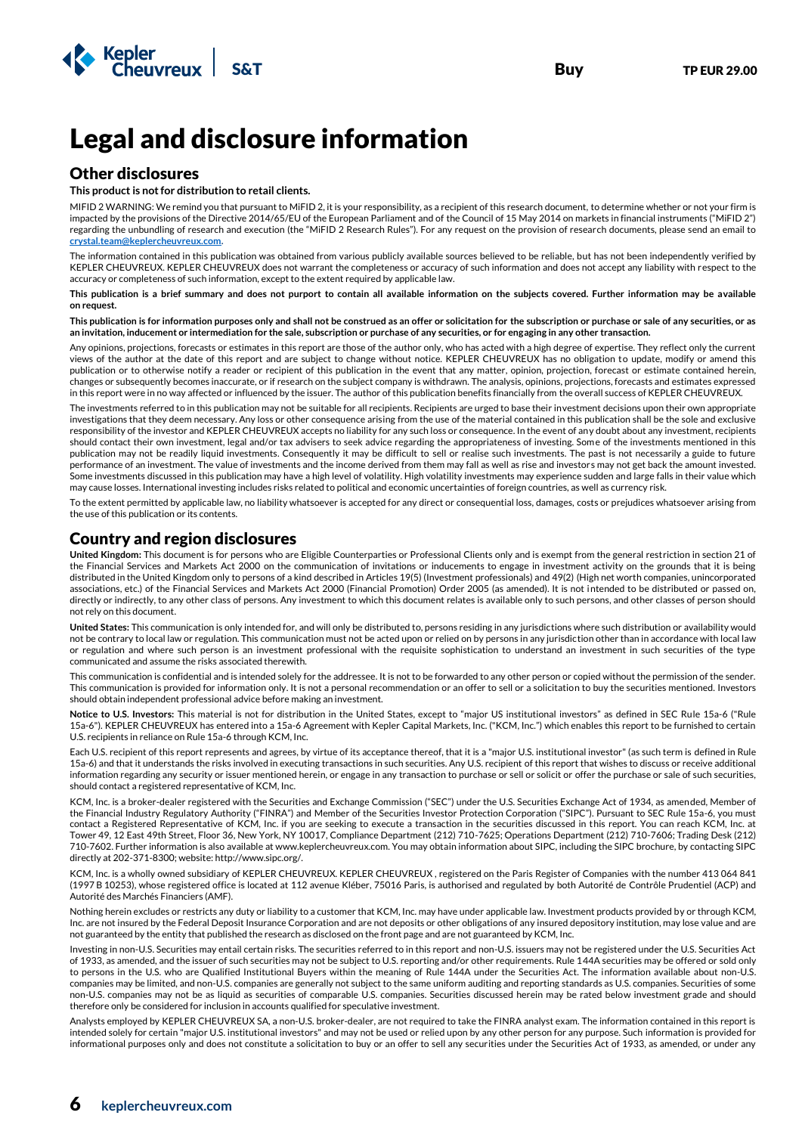

# Legal and disclosure information

### Other disclosures

#### **This product is not for distribution to retail clients.**

MIFID 2 WARNING: We remind you that pursuant to MiFID 2, it is your responsibility, as a recipient of this research document, to determine whether or not your firm is impacted by the provisions of the Directive 2014/65/EU of the European Parliament and of the Council of 15 May 2014 on markets in financial instruments ("MiFID 2") regarding the unbundling of research and execution (the "MiFID 2 Research Rules"). For any request on the provision of research documents, please send an email to **[crystal.team@keplercheuvreux.com.](mailto:crystal.team@keplercheuvreux.com)**

The information contained in this publication was obtained from various publicly available sources believed to be reliable, but has not been independently verified by KEPLER CHEUVREUX. KEPLER CHEUVREUX does not warrant the completeness or accuracy of such information and does not accept any liability with respect to the accuracy or completeness of such information, except to the extent required by applicable law.

**This publication is a brief summary and does not purport to contain all available information on the subjects covered. Further information may be available on request.**

**This publication is for information purposes only and shall not be construed as an offer or solicitation for the subscription or purchase or sale of any securities, or as an invitation, inducement or intermediation for the sale, subscription or purchase of any securities, or for engaging in any other transaction.**

Any opinions, projections, forecasts or estimates in this report are those of the author only, who has acted with a high degree of expertise. They reflect only the current views of the author at the date of this report and are subject to change without notice. KEPLER CHEUVREUX has no obligation to update, modify or amend this publication or to otherwise notify a reader or recipient of this publication in the event that any matter, opinion, projection, forecast or estimate contained herein, changes or subsequently becomes inaccurate, or if research on the subject company is withdrawn. The analysis, opinions, projections, forecasts and estimates expressed in this report were in no way affected or influenced by the issuer. The author of this publication benefits financially from the overall success of KEPLER CHEUVREUX.

The investments referred to in this publication may not be suitable for all recipients. Recipients are urged to base their investment decisions upon their own appropriate investigations that they deem necessary. Any loss or other consequence arising from the use of the material contained in this publication shall be the sole and exclusive responsibility of the investor and KEPLER CHEUVREUX accepts no liability for any such loss or consequence. In the event of any doubt about any investment, recipients should contact their own investment, legal and/or tax advisers to seek advice regarding the appropriateness of investing. Some of the investments mentioned in this publication may not be readily liquid investments. Consequently it may be difficult to sell or realise such investments. The past is not necessarily a guide to future performance of an investment. The value of investments and the income derived from them may fall as well as rise and investors may not get back the amount invested. Some investments discussed in this publication may have a high level of volatility. High volatility investments may experience sudden and large falls in their value which may cause losses. International investing includes risks related to political and economic uncertainties of foreign countries, as well as currency risk.

To the extent permitted by applicable law, no liability whatsoever is accepted for any direct or consequential loss, damages, costs or prejudices whatsoever arising from the use of this publication or its contents.

# Country and region disclosures

**United Kingdom:** This document is for persons who are Eligible Counterparties or Professional Clients only and is exempt from the general restriction in section 21 of the Financial Services and Markets Act 2000 on the communication of invitations or inducements to engage in investment activity on the grounds that it is being distributed in the United Kingdom only to persons of a kind described in Articles 19(5) (Investment professionals) and 49(2) (High net worth companies, unincorporated associations, etc.) of the Financial Services and Markets Act 2000 (Financial Promotion) Order 2005 (as amended). It is not intended to be distributed or passed on, directly or indirectly, to any other class of persons. Any investment to which this document relates is available only to such persons, and other classes of person should not rely on this document.

**United States:** This communication is only intended for, and will only be distributed to, persons residing in any jurisdictions where such distribution or availability would not be contrary to local law or regulation. This communication must not be acted upon or relied on by persons in any jurisdiction other than in accordance with local law or regulation and where such person is an investment professional with the requisite sophistication to understand an investment in such securities of the type communicated and assume the risks associated therewith.

This communication is confidential and is intended solely for the addressee. It is not to be forwarded to any other person or copied without the permission of the sender. This communication is provided for information only. It is not a personal recommendation or an offer to sell or a solicitation to buy the securities mentioned. Investors should obtain independent professional advice before making an investment.

**Notice to U.S. Investors:** This material is not for distribution in the United States, except to "major US institutional investors" as defined in SEC Rule 15a-6 ("Rule 15a-6"). KEPLER CHEUVREUX has entered into a 15a-6 Agreement with Kepler Capital Markets, Inc. ("KCM, Inc.") which enables this report to be furnished to certain U.S. recipients in reliance on Rule 15a-6 through KCM, Inc.

Each U.S. recipient of this report represents and agrees, by virtue of its acceptance thereof, that it is a "major U.S. institutional investor" (as such term is defined in Rule 15a-6) and that it understands the risks involved in executing transactions in such securities. Any U.S. recipient of this report that wishes to discuss or receive additional information regarding any security or issuer mentioned herein, or engage in any transaction to purchase or sell or solicit or offer the purchase or sale of such securities, should contact a registered representative of KCM, Inc.

KCM, Inc. is a broker-dealer registered with the Securities and Exchange Commission ("SEC") under the U.S. Securities Exchange Act of 1934, as amended, Member of the Financial Industry Regulatory Authority ("FINRA") and Member of the Securities Investor Protection Corporation ("SIPC"). Pursuant to SEC Rule 15a-6, you must contact a Registered Representative of KCM, Inc. if you are seeking to execute a transaction in the securities discussed in this report. You can reach KCM, Inc. at Tower 49, 12 East 49th Street, Floor 36, New York, NY 10017, Compliance Department (212) 710-7625; Operations Department (212) 710-7606; Trading Desk (212) 710-7602. Further information is also available at www.keplercheuvreux.com. You may obtain information about SIPC, including the SIPC brochure, by contacting SIPC directly at 202-371-8300; website: http://www.sipc.org/.

KCM, Inc. is a wholly owned subsidiary of KEPLER CHEUVREUX. KEPLER CHEUVREUX , registered on the Paris Register of Companies with the number 413 064 841 (1997 B 10253), whose registered office is located at 112 avenue Kléber, 75016 Paris, is authorised and regulated by both Autorité de Contrôle Prudentiel (ACP) and Autorité des Marchés Financiers (AMF).

Nothing herein excludes or restricts any duty or liability to a customer that KCM, Inc. may have under applicable law. Investment products provided by or through KCM, Inc. are not insured by the Federal Deposit Insurance Corporation and are not deposits or other obligations of any insured depository institution, may lose value and are not guaranteed by the entity that published the research as disclosed on the front page and are not guaranteed by KCM, Inc.

Investing in non-U.S. Securities may entail certain risks. The securities referred to in this report and non-U.S. issuers may not be registered under the U.S. Securities Act of 1933, as amended, and the issuer of such securities may not be subject to U.S. reporting and/or other requirements. Rule 144A securities may be offered or sold only to persons in the U.S. who are Qualified Institutional Buyers within the meaning of Rule 144A under the Securities Act. The information available about non-U.S. companies may be limited, and non-U.S. companies are generally not subject to the same uniform auditing and reporting standards as U.S. companies. Securities of some non-U.S. companies may not be as liquid as securities of comparable U.S. companies. Securities discussed herein may be rated below investment grade and should therefore only be considered for inclusion in accounts qualified for speculative investment.

Analysts employed by KEPLER CHEUVREUX SA, a non-U.S. broker-dealer, are not required to take the FINRA analyst exam. The information contained in this report is intended solely for certain "major U.S. institutional investors" and may not be used or relied upon by any other person for any purpose. Such information is provided for informational purposes only and does not constitute a solicitation to buy or an offer to sell any securities under the Securities Act of 1933, as amended, or under any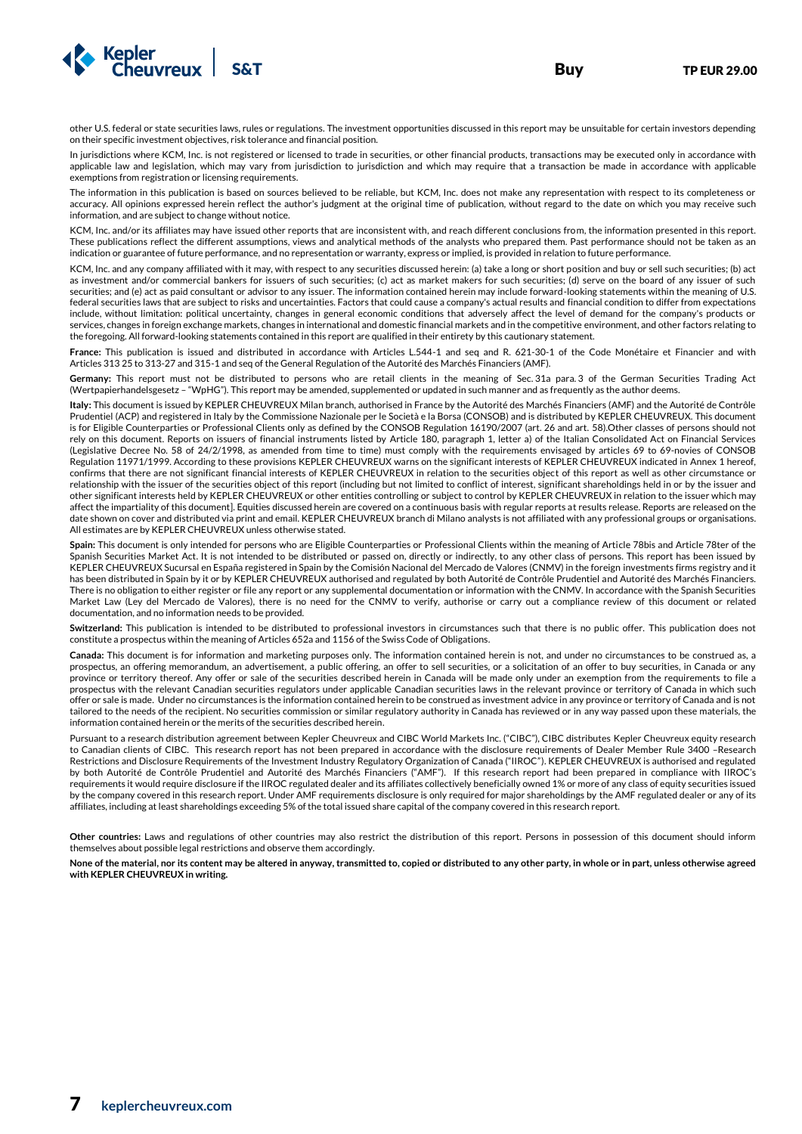

In jurisdictions where KCM, Inc. is not registered or licensed to trade in securities, or other financial products, transactions may be executed only in accordance with applicable law and legislation, which may vary from jurisdiction to jurisdiction and which may require that a transaction be made in accordance with applicable exemptions from registration or licensing requirements.

The information in this publication is based on sources believed to be reliable, but KCM, Inc. does not make any representation with respect to its completeness or accuracy. All opinions expressed herein reflect the author's judgment at the original time of publication, without regard to the date on which you may receive such information, and are subject to change without notice.

KCM, Inc. and/or its affiliates may have issued other reports that are inconsistent with, and reach different conclusions from, the information presented in this report. These publications reflect the different assumptions, views and analytical methods of the analysts who prepared them. Past performance should not be taken as an indication or guarantee of future performance, and no representation or warranty, express or implied, is provided in relation to future performance.

KCM, Inc. and any company affiliated with it may, with respect to any securities discussed herein: (a) take a long or short position and buy or sell such securities; (b) act as investment and/or commercial bankers for issuers of such securities; (c) act as market makers for such securities; (d) serve on the board of any issuer of such securities; and (e) act as paid consultant or advisor to any issuer. The information contained herein may include forward-looking statements within the meaning of U.S. federal securities laws that are subject to risks and uncertainties. Factors that could cause a company's actual results and financial condition to differ from expectations include, without limitation: political uncertainty, changes in general economic conditions that adversely affect the level of demand for the company's products or services, changes in foreign exchange markets, changes in international and domestic financial markets and in the competitive environment, and other factors relating to the foregoing. All forward-looking statements contained in this report are qualified in their entirety by this cautionary statement.

**France:** This publication is issued and distributed in accordance with Articles L.544-1 and seq and R. 621-30-1 of the Code Monétaire et Financier and with Articles 313 25 to 313-27 and 315-1 and seq of the General Regulation of the Autorité des Marchés Financiers (AMF).

**Germany:** This report must not be distributed to persons who are retail clients in the meaning of Sec. 31a para. 3 of the German Securities Trading Act (Wertpapierhandelsgesetz – "WpHG"). This report may be amended, supplemented or updated in such manner and as frequently as the author deems.

**Italy:** This document is issued by KEPLER CHEUVREUX Milan branch, authorised in France by the Autorité des Marchés Financiers (AMF) and the Autorité de Contrôle Prudentiel (ACP) and registered in Italy by the Commissione Nazionale per le Società e la Borsa (CONSOB) and is distributed by KEPLER CHEUVREUX. This document is for Eligible Counterparties or Professional Clients only as defined by the CONSOB Regulation 16190/2007 (art. 26 and art. 58).Other classes of persons should not rely on this document. Reports on issuers of financial instruments listed by Article 180, paragraph 1, letter a) of the Italian Consolidated Act on Financial Services (Legislative Decree No. 58 of 24/2/1998, as amended from time to time) must comply with the requirements envisaged by articles 69 to 69-novies of CONSOB Regulation 11971/1999. According to these provisions KEPLER CHEUVREUX warns on the significant interests of KEPLER CHEUVREUX indicated in Annex 1 hereof, confirms that there are not significant financial interests of KEPLER CHEUVREUX in relation to the securities object of this report as well as other circumstance or relationship with the issuer of the securities object of this report (including but not limited to conflict of interest, significant shareholdings held in or by the issuer and other significant interests held by KEPLER CHEUVREUX or other entities controlling or subject to control by KEPLER CHEUVREUX in relation to the issuer which may affect the impartiality of this document]. Equities discussed herein are covered on a continuous basis with regular reports at results release. Reports are released on the date shown on cover and distributed via print and email. KEPLER CHEUVREUX branch di Milano analysts is not affiliated with any professional groups or organisations. All estimates are by KEPLER CHEUVREUX unless otherwise stated.

Spain: This document is only intended for persons who are Eligible Counterparties or Professional Clients within the meaning of Article 78bis and Article 78ter of the Spanish Securities Market Act. It is not intended to be distributed or passed on, directly or indirectly, to any other class of persons. This report has been issued by KEPLER CHEUVREUX Sucursal en España registered in Spain by the Comisión Nacional del Mercado de Valores (CNMV) in the foreign investments firms registry and it has been distributed in Spain by it or by KEPLER CHEUVREUX authorised and regulated by both Autorité de Contrôle Prudentiel and Autorité des Marchés Financiers. There is no obligation to either register or file any report or any supplemental documentation or information with the CNMV. In accordance with the Spanish Securities Market Law (Ley del Mercado de Valores), there is no need for the CNMV to verify, authorise or carry out a compliance review of this document or related documentation, and no information needs to be provided.

**Switzerland:** This publication is intended to be distributed to professional investors in circumstances such that there is no public offer. This publication does not constitute a prospectus within the meaning of Articles 652a and 1156 of the Swiss Code of Obligations.

**Canada:** This document is for information and marketing purposes only. The information contained herein is not, and under no circumstances to be construed as, a prospectus, an offering memorandum, an advertisement, a public offering, an offer to sell securities, or a solicitation of an offer to buy securities, in Canada or any province or territory thereof. Any offer or sale of the securities described herein in Canada will be made only under an exemption from the requirements to file a prospectus with the relevant Canadian securities regulators under applicable Canadian securities laws in the relevant province or territory of Canada in which such offer or sale is made. Under no circumstances is the information contained herein to be construed as investment advice in any province or territory of Canada and is not tailored to the needs of the recipient. No securities commission or similar regulatory authority in Canada has reviewed or in any way passed upon these materials, the information contained herein or the merits of the securities described herein.

Pursuant to a research distribution agreement between Kepler Cheuvreux and CIBC World Markets Inc. ("CIBC"), CIBC distributes Kepler Cheuvreux equity research to Canadian clients of CIBC. This research report has not been prepared in accordance with the disclosure requirements of Dealer Member Rule 3400 –Research Restrictions and Disclosure Requirements of the Investment Industry Regulatory Organization of Canada ("IIROC"). KEPLER CHEUVREUX is authorised and regulated by both Autorité de Contrôle Prudentiel and Autorité des Marchés Financiers ("AMF"). If this research report had been prepared in compliance with IIROC's requirements it would require disclosure if the IIROC regulated dealer and its affiliates collectively beneficially owned 1% or more of any class of equity securities issued by the company covered in this research report. Under AMF requirements disclosure is only required for major shareholdings by the AMF regulated dealer or any of its affiliates, including at least shareholdings exceeding 5% of the total issued share capital of the company covered in this research report.

**Other countries:** Laws and regulations of other countries may also restrict the distribution of this report. Persons in possession of this document should inform themselves about possible legal restrictions and observe them accordingly.

**None of the material, nor its content may be altered in anyway, transmitted to, copied or distributed to any other party, in whole or in part, unless otherwise agreed with KEPLER CHEUVREUX in writing.**